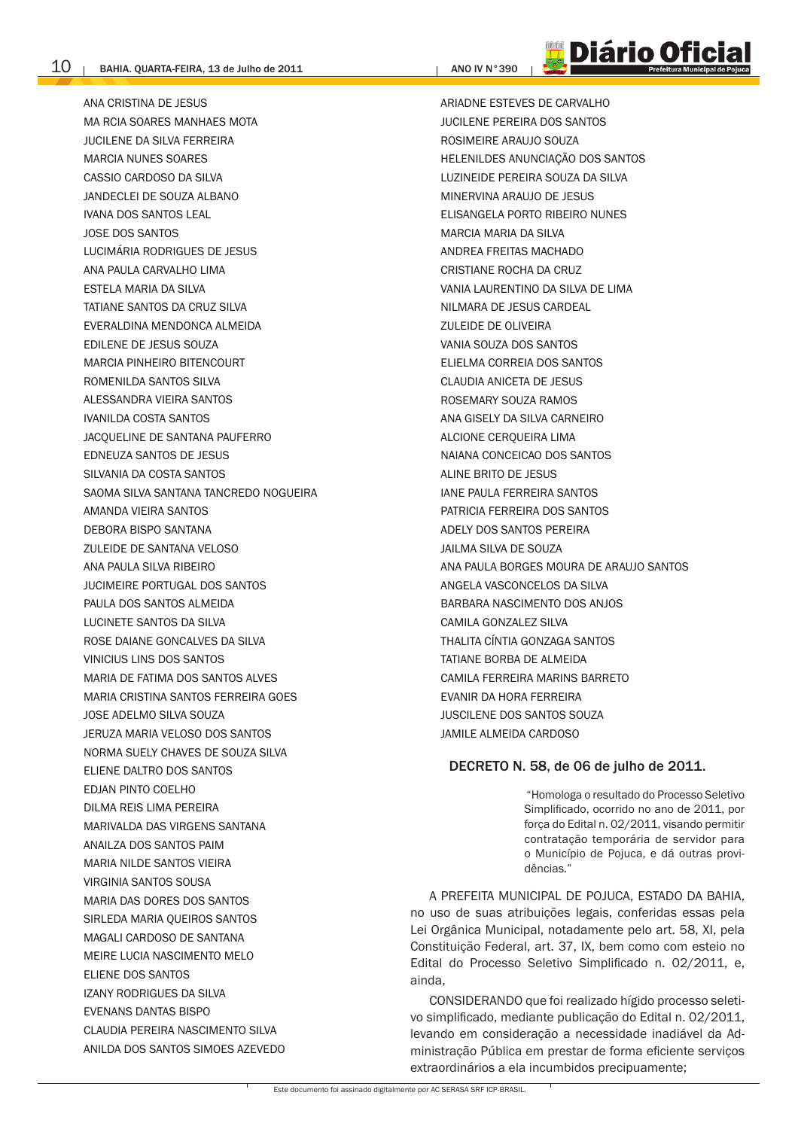ANA CRISTINA DE JESUS MA RCIA SOARES MANHAES MOTA **JUCILENE DA SILVA FERREIRA** MARCIA NUNFS SOARES CASSIO CARDOSO DA SILVA JANDECLEI DE SOUZA ALBANO **IVANA DOS SANTOS LEAL JOSE DOS SANTOS** LUCIMÁRIA RODRIGUES DE JESUS ANA PAULA CARVALHO LIMA **FSTFI A MARIA DA SILVA** TATIANE SANTOS DA CRUZ SILVA EVERALDINA MENDONCA ALMEIDA EDILENE DE JESUS SOUZA MARCIA PINHFIRO BITFNCOURT ROMENILDA SANTOS SILVA ALESSANDRA VIEIRA SANTOS **IVANILDA COSTA SANTOS** JACOUELINE DE SANTANA PAUFERRO EDNEUZA SANTOS DE JESUS SILVANIA DA COSTA SANTOS SAOMA SILVA SANTANA TANCREDO NOGUEIRA **AMANDA VIEIRA SANTOS** DEBORA BISPO SANTANA ZULEIDE DE SANTANA VELOSO ANA PAULA SILVA RIBEIRO **IUCIMEIRE PORTUGAL DOS SANTOS** PAULA DOS SANTOS ALMEIDA **I UCINETE SANTOS DA SILVA** ROSE DAIANE GONCALVES DA SILVA VINICIUS LINS DOS SANTOS MARIA DE FATIMA DOS SANTOS ALVES MARIA CRISTINA SANTOS FERREIRA GOES JOSE ADELMO SILVA SOUZA JERUZA MARIA VELOSO DOS SANTOS NORMA SUELY CHAVES DE SOUZA SILVA ELIENE DALTRO DOS SANTOS **FDIAN PINTO COFI HO** DILMA REIS LIMA PEREIRA MARIVALDA DAS VIRGENS SANTANA ANAILZA DOS SANTOS PAIM MARIA NILDE SANTOS VIEIRA **VIRGINIA SANTOS SOUSA** MARIA DAS DORES DOS SANTOS SIRI FDA MARIA OUFIROS SANTOS MAGALI CARDOSO DE SANTANA MEIRE LUCIA NASCIMENTO MELO ELIENE DOS SANTOS **IZANY RODRIGUES DA SILVA EVENANS DANTAS BISPO** CLAUDIA PEREIRA NASCIMENTO SILVA ANILDA DOS SANTOS SIMOES AZEVEDO

**ANO IV N°390** 

ARIADNE ESTEVES DE CARVALHO **JUCILENE PERFIRA DOS SANTOS** ROSIMEIRE ARAUJO SOUZA HELENILDES ANUNCIAÇÃO DOS SANTOS LUZINEIDE PEREIRA SOUZA DA SILVA MINERVINA ARAUJO DE JESUS ELISANGELA PORTO RIBEIRO NUNES MARCIA MARIA DA SILVA ANDREA FREITAS MACHADO CRISTIANE ROCHA DA CRUZ VANIA I AURENTINO DA SILVA DE LIMA NILMARA DE JESUS CARDEAL **ZULFIDE DE OLIVEIRA** VANIA SOUZA DOS SANTOS FLIFLMA CORREIA DOS SANTOS **CLAUDIA ANICETA DE JESUS** ROSEMARY SOUZA RAMOS ANA GISELY DA SILVA CARNEIRO ALCIONE CEROUEIRA LIMA NAIANA CONCEICAO DOS SANTOS ALINE BRITO DE JESUS **IANE PAULA FERREIRA SANTOS** PATRICIA FERREIRA DOS SANTOS ADELY DOS SANTOS PEREIRA JAILMA SILVA DE SOUZA ANA PAULA BORGES MOURA DE ARAUJO SANTOS ANGELA VASCONCELOS DA SILVA BARBARA NASCIMENTO DOS ANJOS CAMILA GONZALEZ SILVA THAI ITA CÍNTIA GONZAGA SANTOS TATIANE BORBA DE ALMEIDA CAMILA FERREIRA MARINS BARRETO EVANIR DA HORA FERREIRA JUSCILENE DOS SANTOS SOUZA JAMILE ALMEIDA CARDOSO

**Diário Ofici** 

# DECRETO N. 58, de 06 de julho de 2011.

"Homologa o resultado do Processo Seletivo Simplificado, ocorrido no ano de 2011, por forca do Edital n. 02/2011, visando permitir contratação temporária de servidor para o Município de Pojuca, e dá outras providências."

A PREFEITA MUNICIPAL DE POJUCA, ESTADO DA BAHIA, no uso de suas atribuições legais, conferidas essas pela Lei Orgânica Municipal, notadamente pelo art. 58, XI, pela Constituição Federal, art. 37, IX, bem como com esteio no Edital do Processo Seletivo Simplificado n. 02/2011, e, ainda.

CONSIDERANDO que foi realizado hígido processo seletivo simplificado, mediante publicação do Edital n. 02/2011, levando em consideração a necessidade inadiável da Administração Pública em prestar de forma eficiente serviços extraordinários a ela incumbidos precipuamente: